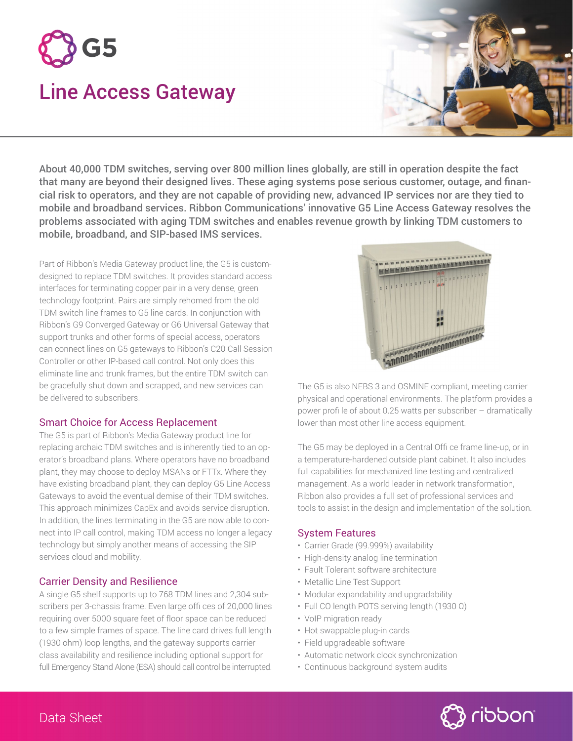

# Line Access Gateway



About 40,000 TDM switches, serving over 800 million lines globally, are still in operation despite the fact that many are beyond their designed lives. These aging systems pose serious customer, outage, and financial risk to operators, and they are not capable of providing new, advanced IP services nor are they tied to mobile and broadband services. Ribbon Communications' innovative G5 Line Access Gateway resolves the problems associated with aging TDM switches and enables revenue growth by linking TDM customers to mobile, broadband, and SIP-based IMS services.

Part of Ribbon's Media Gateway product line, the G5 is customdesigned to replace TDM switches. It provides standard access interfaces for terminating copper pair in a very dense, green technology footprint. Pairs are simply rehomed from the old TDM switch line frames to G5 line cards. In conjunction with Ribbon's G9 Converged Gateway or G6 Universal Gateway that support trunks and other forms of special access, operators can connect lines on G5 gateways to Ribbon's C20 Call Session Controller or other IP-based call control. Not only does this eliminate line and trunk frames, but the entire TDM switch can be gracefully shut down and scrapped, and new services can be delivered to subscribers.

## Smart Choice for Access Replacement

The G5 is part of Ribbon's Media Gateway product line for replacing archaic TDM switches and is inherently tied to an operator's broadband plans. Where operators have no broadband plant, they may choose to deploy MSANs or FTTx. Where they have existing broadband plant, they can deploy G5 Line Access Gateways to avoid the eventual demise of their TDM switches. This approach minimizes CapEx and avoids service disruption. In addition, the lines terminating in the G5 are now able to connect into IP call control, making TDM access no longer a legacy technology but simply another means of accessing the SIP services cloud and mobility.

# Carrier Density and Resilience

A single G5 shelf supports up to 768 TDM lines and 2,304 subscribers per 3-chassis frame. Even large offi ces of 20,000 lines requiring over 5000 square feet of floor space can be reduced to a few simple frames of space. The line card drives full length (1930 ohm) loop lengths, and the gateway supports carrier class availability and resilience including optional support for full Emergency Stand Alone (ESA) should call control be interrupted.



The G5 is also NEBS 3 and OSMINE compliant, meeting carrier physical and operational environments. The platform provides a power profi le of about 0.25 watts per subscriber – dramatically lower than most other line access equipment.

The G5 may be deployed in a Central Offi ce frame line-up, or in a temperature-hardened outside plant cabinet. It also includes full capabilities for mechanized line testing and centralized management. As a world leader in network transformation, Ribbon also provides a full set of professional services and tools to assist in the design and implementation of the solution.

## System Features

- Carrier Grade (99.999%) availability
- High-density analog line termination
- Fault Tolerant software architecture
- Metallic Line Test Support
- Modular expandability and upgradability
- Full CO length POTS serving length (1930 Ω)
- VoIP migration ready
- Hot swappable plug-in cards
- Field upgradeable software
- Automatic network clock synchronization
- Continuous background system audits